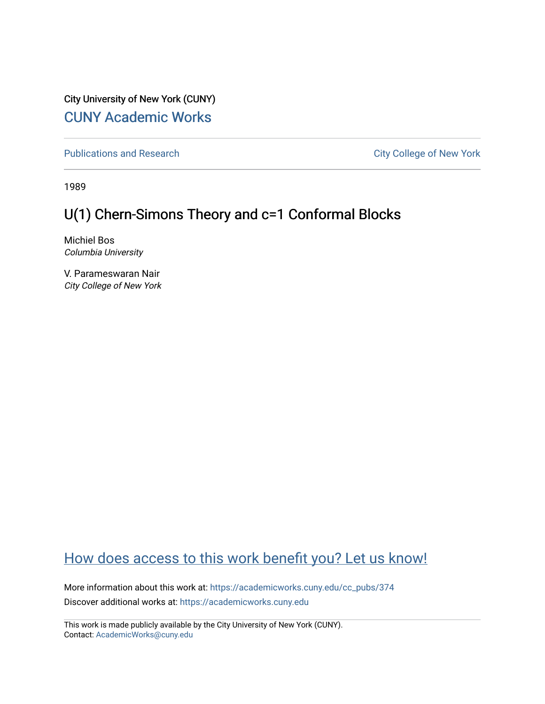City University of New York (CUNY) [CUNY Academic Works](https://academicworks.cuny.edu/) 

[Publications and Research](https://academicworks.cuny.edu/cc_pubs) **City College of New York** Publications and Research

1989

## U(1) Chern-Simons Theory and c=1 Conformal Blocks

Michiel Bos Columbia University

V. Parameswaran Nair City College of New York

## [How does access to this work benefit you? Let us know!](http://ols.cuny.edu/academicworks/?ref=https://academicworks.cuny.edu/cc_pubs/374)

More information about this work at: [https://academicworks.cuny.edu/cc\\_pubs/374](https://academicworks.cuny.edu/cc_pubs/374)  Discover additional works at: [https://academicworks.cuny.edu](https://academicworks.cuny.edu/?)

This work is made publicly available by the City University of New York (CUNY). Contact: [AcademicWorks@cuny.edu](mailto:AcademicWorks@cuny.edu)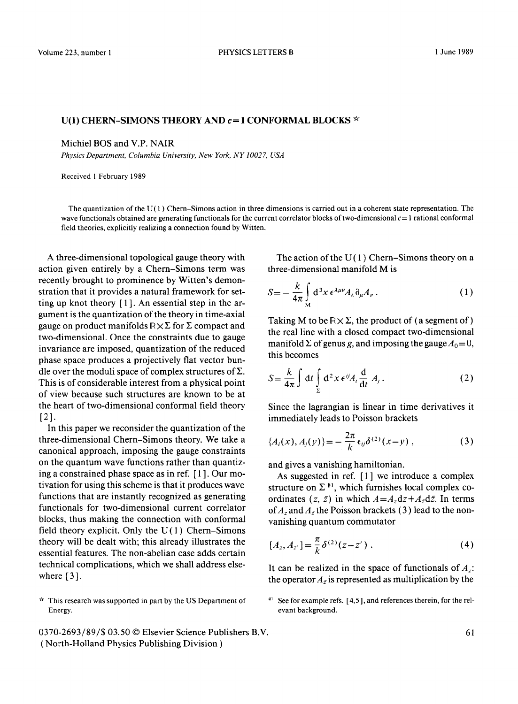Volume 223, number 1 1 1 and 1989 1 June 1989 1 June 1989

## U(1) CHERN-SIMONS THEORY AND  $c=1$  CONFORMAL BLOCKS  $\star$

Michiel BOS and V.P. NAIR

*Physics Department, Columbia University, New York, NY 10027, USA* 

Received 1 February 1989

The quantization of the  $U(1)$  Chern-Simons action in three dimensions is carried out in a coherent state representation. The wave functionals obtained are generating functionals for the current correlator blocks of two-dimensional  $c=1$  rational conformal field theories, explicitly realizing a connection found by Witten.

A three-dimensional topological gauge theory with action given entirely by a Chern-Simons term was recently brought to prominence by Witten's demonstration that it provides a natural framework for setting up knot theory  $[1]$ . An essential step in the argument is the quantization of the theory in time-axial gauge on product manifolds  $\mathbb{R} \times \Sigma$  for  $\Sigma$  compact and two-dimensional. Once the constraints due to gauge invariance are imposed, quantization of the reduced phase space produces a projectively flat vector bundle over the moduli space of complex structures of  $\Sigma$ . This is of considerable interest from a physical point of view because such structures are known to be at the heart of two-dimensional conformal field theory [21.

In this paper we reconsider the quantization of the three-dimensional Chern-Simons theory. We take a canonical approach, imposing the gauge constraints on the quantum wave functions rather than quantizing a constrained phase space as in ref. [ 1 ]. Our motivation for using this scheme is that it produces wave functions that are instantly recognized as generating functionals for two-dimensional current correlator blocks, thus making the connection with conformal field theory explicit. Only the  $U(1)$  Chern-Simons theory will be dealt with; this already illustrates the essential features. The non-abelian case adds certain technical complications, which we shall address elsewhere  $[3]$ .

 $\star$  This research was supported in part by the US Department of Energy.

0370-2693/89/\$ 03.50 © Elsevier Science Publishers B.V. ( North-Holland Physics Publishing Division )

The action of the  $U(1)$  Chern–Simons theory on a three-dimensional manifold M is

$$
S = -\frac{k}{4\pi} \int_{M} d^{3}x \,\epsilon^{\lambda\mu\nu} A_{\lambda} \partial_{\mu} A_{\nu} . \tag{1}
$$

Taking M to be  $\mathbb{R} \times \Sigma$ , the product of (a segment of) the real line with a closed compact two-dimensional manifold  $\Sigma$  of genus g, and imposing the gauge  $A_0 = 0$ , this becomes

$$
S = \frac{k}{4\pi} \int dt \int_{\Sigma} d^2 x \, \epsilon^{ij} A_i \frac{d}{dt} A_j \,. \tag{2}
$$

Since the lagrangian is linear in time derivatives it immediately leads to Poisson brackets

$$
\{A_i(x), A_j(y)\} = -\frac{2\pi}{k} \epsilon_{ij} \delta^{(2)}(x-y) , \qquad (3)
$$

and gives a vanishing hamiltonian.

As suggested in ref. [ 1] we introduce a complex structure on  $\Sigma^{\#1}$ , which furnishes local complex coordinates (z,  $\bar{z}$ ) in which  $A = A_z dz + A_{\bar{z}} d\bar{z}$ . In terms of  $A_z$  and  $A_{\bar{z}}$  the Poisson brackets (3) lead to the nonvanishing quantum commutator

$$
[A_z, A_{z'}] = \frac{\pi}{k} \delta^{(2)}(z - z') . \tag{4}
$$

It can be realized in the space of functionals of  $A_{\bar{z}}$ : the operator  $A_{\bar{z}}$  is represented as multiplication by the

61

 $*1$  See for example refs. [4,5], and references therein, for the relevant background.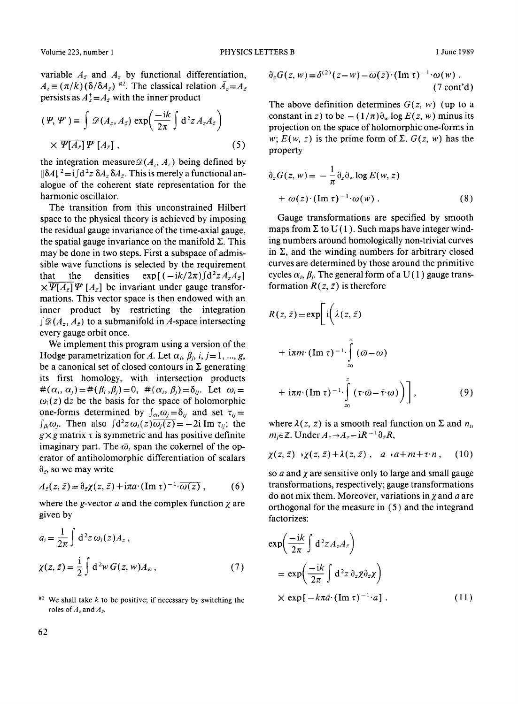variable  $A_{\bar{z}}$  and  $A_{z}$  by functional differentiation,  $A_z = (\pi/k) (\delta/\delta A_z)^{2}$ . The classical relation  $\bar{A}_z = A_z$ persists as  $A_z^{\dagger} = A_z$  with the inner product

$$
(\Psi, \Psi') \equiv \int \mathcal{D}(A_z, A_{\bar{z}}) \exp\left(\frac{-ik}{2\pi} \int d^2 z \, A_z A_{\bar{z}}\right)
$$

$$
\times \overline{\Psi[A_{\bar{z}}]} \Psi'[A_{\bar{z}}], \qquad (5)
$$

the integration measure  $\mathscr{D}(A_z, A_{\bar{z}})$  being defined by  $\|\delta A\|^2 = i \int d^2z \ \delta A_z \ \delta A_{\bar{z}}$ . This is merely a functional analogue of the coherent state representation for the harmonic oscillator.

The transition from this unconstrained Hilbert space to the physical theory is achieved by imposing the residual gauge invariance of the time-axial gauge, the spatial gauge invariance on the manifold  $\Sigma$ . This may be done in two steps. First a subspace of admissible wave functions is selected by the requirement that the densities  $\exp[(-ik/2\pi)]d^2zA_zA_{\bar{z}}$  $\times \overline{\Psi[A_{\overline{z}}]}\Psi[A_{\overline{z}}]$  be invariant under gauge transformations. This vector space is then endowed with an inner product by restricting the integration  $\int \mathscr{D}(A_z, A_{\bar{z}})$  to a submanifold in A-space intersecting every gauge orbit once.

We implement this program using a version of the Hodge parametrization for A. Let  $\alpha_i$ ,  $\beta_i$ ,  $i, j = 1, ..., g$ , be a canonical set of closed contours in  $\Sigma$  generating its first homology, with intersection products  $\#(\alpha_i, \alpha_j) = \#(\beta_i, \beta_j) = 0, \#(\alpha_i, \beta_j) = \delta_{ij}$ . Let  $\omega_i =$  $\omega_i(z)$  dz be the basis for the space of holomorphic one-forms determined by  $\int_{\alpha_i} \omega_j = \delta_{ij}$  and set  $\tau_{ij} =$  $\int_{\beta_i} \omega_i$ . Then also  $\int d^2z \omega_i(z)\overline{\omega_i(z)} = -2i$  Im  $\tau_{ii}$ ; the  $g \times g$  matrix  $\tau$  is symmetric and has positive definite imaginary part. The  $\bar{\omega}_i$  span the cokernel of the operator of antiholomorphic differentiation of scalars  $\partial_{\bar{z}}$ , so we may write

$$
A_{\bar{z}}(z,\bar{z}) = \partial_{\bar{z}} \chi(z,\bar{z}) + i\pi a \cdot (\text{Im } \tau)^{-1} \cdot \overline{\omega(z)}, \qquad (6)
$$

where the g-vector  $a$  and the complex function  $\chi$  are given by

$$
a_i = \frac{1}{2\pi} \int d^2 z \,\omega_i(z) A_{\bar{z}},
$$
  

$$
\chi(z, \bar{z}) = \frac{i}{2} \int d^2 w \, G(z, w) A_{\bar{w}},
$$
 (7)

 $*2$  We shall take k to be positive; if necessary by switching the roles of  $A_z$  and  $A_{\bar{z}}$ .

$$
\partial_{\bar{z}}G(z,w) = \delta^{(2)}(z-w) - \overline{\omega(z)} \cdot (\text{Im } \tau)^{-1} \cdot \omega(w) .
$$
  
(7 cont'd)

The above definition determines  $G(z, w)$  (up to a constant in z) to be  $-(1/\pi)\partial_w \log E(z, w)$  minus its projection on the space of holomorphic one-forms in  $w$ ;  $E(w, z)$  is the prime form of  $\Sigma$ .  $G(z, w)$  has the property

$$
\partial_z G(z, w) = -\frac{1}{\pi} \partial_z \partial_w \log E(w, z)
$$
  
+  $\omega(z) \cdot (\text{Im } \tau)^{-1} \cdot \omega(w)$ . (8)

Gauge transformations are specified by smooth maps from  $\Sigma$  to U(1). Such maps have integer winding numbers around homologically non-trivial curves in  $\Sigma$ , and the winding numbers for arbitrary closed curves are determined by those around the primitive cycles  $\alpha_i$ ,  $\beta_i$ . The general form of a U(1) gauge transformation  $R(z, \bar{z})$  is therefore

$$
R(z, \bar{z}) = \exp\left[i\left(\lambda(z, \bar{z})\right) + i\pi m \cdot (\text{Im } \tau)^{-1} \cdot \int_{z_0}^{\bar{z}} (\bar{\omega} - \omega) + i\pi n \cdot (\text{Im } \tau)^{-1} \cdot \int_{z_0}^{\bar{z}} (\tau \cdot \bar{\omega} - \bar{\tau} \cdot \omega)\right],
$$
 (9)

where  $\lambda(z, \bar{z})$  is a smooth real function on  $\Sigma$  and  $n_i$ ,  $m_i \in \mathbb{Z}$ . Under  $A_z \rightarrow A_z - iR^{-1} \partial_z R$ ,

$$
\chi(z,\bar{z}) \to \chi(z,\bar{z}) + \lambda(z,\bar{z}) , \quad a \to a + m + \tau \cdot n , \quad (10)
$$

so  $a$  and  $\chi$  are sensitive only to large and small gauge transformations, respectively; gauge transformations do not mix them. Moreover, variations in  $\chi$  and a are orthogonal for the measure in (5) and the integrand factorizes:

$$
\exp\left(\frac{-ik}{2\pi}\int d^2z A_z A_{\bar{z}}\right)
$$
  
= 
$$
\exp\left(\frac{-ik}{2\pi}\int d^2z \,\partial_z\bar{\chi}\partial_{\bar{z}}\chi\right)
$$
  
× 
$$
\exp\left[-k\pi\bar{a}\cdot(\text{Im }\tau)^{-1}\cdot a\right].
$$
 (11)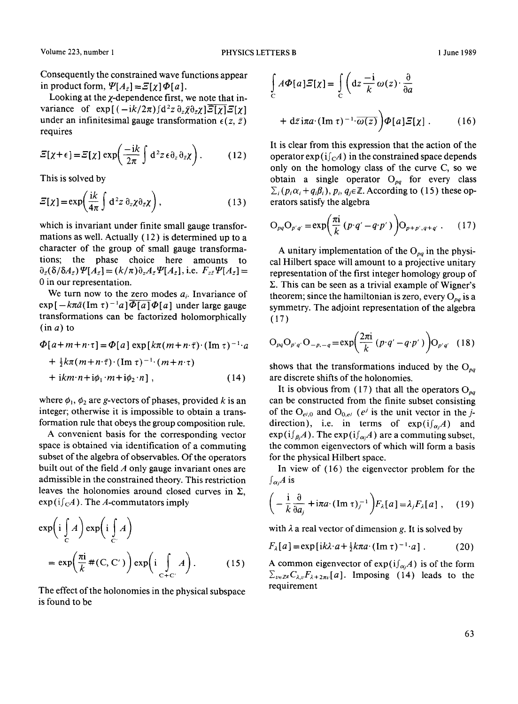Consequently the constrained wave functions appear in product form,  $\Psi[A_{\overline{z}}] = \Xi[\chi]\Phi[a]$ .

Looking at the *x*-dependence first, we note that invariance of  $\exp[(-ik/2\pi)\int d^2z \, \partial_z \overline{\chi} \partial_{\overline{z}} \chi] \overline{\mathcal{Z}[\chi]} \overline{\mathcal{Z}}[\chi]$ under an infinitesimal gauge transformation  $\epsilon(z, \bar{z})$ requires

$$
\mathcal{Z}[\chi+\epsilon] = \mathcal{Z}[\chi] \exp\left(\frac{-ik}{2\pi} \int d^2 z \,\epsilon \partial_z \partial_{\bar{z}} \chi\right). \tag{12}
$$

This is solved by

$$
\mathcal{Z}[\chi] = \exp\left(\frac{i k}{4\pi} \int d^2 z \, \partial_z \chi \partial_{\bar{z}} \chi\right),\tag{13}
$$

which is invariant under finite small gauge transformations as well. Actually (12) is determined up to a character of the group of small gauge transformations; the phase choice here amounts to  $\partial_{\bar{z}}(\delta/\delta A_{\bar{z}})\Psi[A_{\bar{z}}] = (k/\pi)\partial_{z}A_{\bar{z}}\Psi[A_{\bar{z}}],$  i.e.  $F_{z\bar{z}}\Psi[A_{\bar{z}}] =$ 0 in our representation.

We turn now to the zero modes  $a_i$ . Invariance of  $\exp[-k\pi\bar{a}(\text{Im }\tau)^{-1}a]\overline{\Phi[a]}\Phi[a]$  under large gauge transformations can be factorized holomorphically  $(in a)$  to

$$
\Phi[a+m+n\cdot\tau] = \Phi[a] \exp[k\pi(m+n\cdot\tau)\cdot (\text{Im }\tau)^{-1}\cdot a
$$
  
+ 
$$
\frac{1}{2}k\pi(m+n\cdot\tau)\cdot (\text{Im }\tau)^{-1}\cdot (m+n\cdot\tau)
$$
  
+ 
$$
ikm\cdot n + i\phi_1\cdot m + i\phi_2\cdot n],
$$
 (14)

where  $\phi_1$ ,  $\phi_2$  are g-vectors of phases, provided k is an integer; otherwise it is impossible to obtain a transformation rule that obeys the group composition rule.

A convenient basis for the corresponding vector space is obtained via identification of a commuting subset of the algebra of observables. Of the operators built out of the field  $A$  only gauge invariant ones are admissible in the constrained theory. This restriction leaves the holonomies around closed curves in  $\Sigma$ ,  $exp(i\int_C A)$ . The A-commutators imply

$$
\exp\left(i\int_{C} A\right) \exp\left(i\int_{C'} A\right)
$$
  
= 
$$
\exp\left(\frac{\pi i}{k} \#(C, C')\right) \exp\left(i\int_{C+C'} A\right).
$$
 (15)

The effect of the holonomies in the physical subspace is found to be

$$
\int_{C} A\Phi[a]\mathcal{E}[\chi] = \int_{C} \left( dz \frac{-i}{k} \omega(z) \cdot \frac{\partial}{\partial a} + d\bar{z} i\pi a \cdot (\text{Im } \tau)^{-1} \cdot \overline{\omega(z)} \right) \Phi[a]\mathcal{E}[\chi].
$$
\n(16)

It is clear from this expression that the action of the operator  $\exp(i[\epsilon A])$  in the constrained space depends only on the homology class of the curve C, so we obtain a single operator  $O_{pq}$  for every class  $\sum_i (p_i \alpha_i + q_i \beta_i)$ ,  $p_i, q_i \in \mathbb{Z}$ . According to (15) these operators satisfy the algebra

$$
O_{pq}O_{p'q'} = \exp\left(\frac{\pi i}{k} \left(p \cdot q' - q \cdot p'\right)\right) O_{p+p',q+q'}\,. \tag{17}
$$

A unitary implementation of the *Opq* in the physical Hilbert space will amount to a projective unitary representation of the first integer homology group of  $\Sigma$ . This can be seen as a trivial example of Wigner's theorem; since the hamiltonian is zero, every  $O_{pq}$  is a symmetry. The adjoint representation of the algebra (17)

$$
O_{pq}O_{p'q'}O_{-p,-q} = \exp\left(\frac{2\pi i}{k}(p \cdot q' - q \cdot p')\right)O_{p'q'} \quad (18)
$$

shows that the transformations induced by the  $O_{pq}$ are discrete shifts of the holonomies.

It is obvious from (17) that all the operators  $O_{pq}$ can be constructed from the finite subset consisting of the O<sub>ej,0</sub> and O<sub>0,ej</sub> (e<sup>j</sup> is the unit vector in the jdirection), i.e. in terms of  $exp(i\int_{\alpha_i}A)$  and  $exp ( i \int_{\beta_i} A )$ . The  $exp ( i \int_{\alpha_i} A )$  are a commuting subset, the common eigenvectors of which will form a basis for the physical Hilbert space.

In view of (16) the eigenvector problem for the  $\int_{\alpha_i} A$  is

$$
\left(-\frac{\mathrm{i}}{k}\frac{\partial}{\partial a_j}+\mathrm{i}\pi a\cdot(\mathrm{Im}\,\tau)_j^{-1}\right)F_\lambda[a]=\lambda_jF_\lambda[a]\;, \quad (19)
$$

with  $\lambda$  a real vector of dimension g. It is solved by

$$
F_{\lambda}[a] = \exp[i k \lambda \cdot a + \frac{1}{2} k \pi a \cdot (\text{Im } \tau)^{-1} \cdot a]. \tag{20}
$$

A common eigenvector of  $exp(i\int_{\alpha_i}A)$  is of the form  $\sum_{v \in \mathbb{Z}^g} C_{\lambda,v} F_{\lambda+2\pi v}[a]$ . Imposing (14) leads to the requirement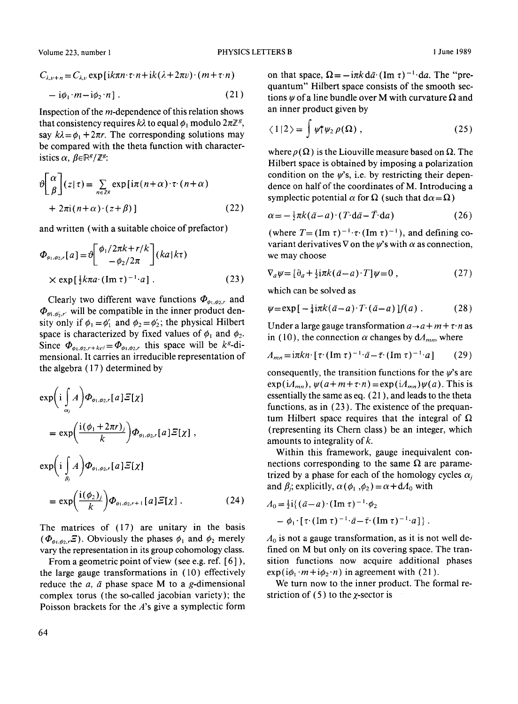Volume 223, number 1 PHYSICS LETTERS B 1 June 1989

$$
C_{\lambda,\nu+n} = C_{\lambda,\nu} \exp\left[i k \pi n \cdot \tau \cdot n + i k (\lambda + 2 \pi \nu) \cdot (m + \tau \cdot n)\right] - i \phi_1 \cdot m - i \phi_2 \cdot n \quad . \tag{21}
$$

Inspection of the m-dependence of this relation shows that consistency requires  $k\lambda$  to equal  $\phi_1$  modulo  $2\pi\mathbb{Z}^g$ , say  $k\lambda = \phi_1 + 2\pi r$ . The corresponding solutions may be compared with the theta function with characteristics  $\alpha$ ,  $\beta \in \mathbb{R}^g/\mathbb{Z}^g$ :

$$
\vartheta \left[ \begin{array}{c} \alpha \\ \beta \end{array} \right] (z|\tau) = \sum_{n \in \mathbb{Z}^g} \exp\{i\pi (n+\alpha) \cdot \tau \cdot (n+\alpha) - 2\pi i (n+\alpha) \cdot (z+\beta) \} \tag{22}
$$

and written (with a suitable choice of prefactor)

$$
\Phi_{\phi_1, \phi_2, r}[a] = \vartheta \begin{bmatrix} \phi_1/2\pi k + r/k \\ -\phi_2/2\pi \end{bmatrix} (ka|k\tau)
$$
  
× exp[ $\frac{1}{2}k\pi a \cdot (\text{Im } \tau)^{-1} \cdot a$ ]. (23)

Clearly two different wave functions  $\Phi_{\phi_1,\phi_2,r}$  and  $\Phi_{\phi_1,\phi_2,r'}$  will be compatible in the inner product density only if  $\phi_1 = \phi'_1$  and  $\phi_2 = \phi'_2$ ; the physical Hilbert space is characterized by fixed values of  $\phi_1$  and  $\phi_2$ . Since  $\Phi_{\phi_1,\phi_2,r+ke^j} = \Phi_{\phi_1,\phi_2,r}$  this space will be  $k^g$ -dimensional. It carries an irreducible representation of the algebra ( 17 ) determined by

$$
\exp\left(i\int_{\alpha_j} A\right) \Phi_{\phi_1, \phi_2, r}[a] \mathcal{Z}[\chi]
$$
\n
$$
= \exp\left(\frac{i(\phi_1 + 2\pi r)_j}{k}\right) \Phi_{\phi_1, \phi_2, r}[a] \mathcal{Z}[\chi],
$$
\n
$$
\exp\left(i\int_{\beta_j} A\right) \Phi_{\phi_1, \phi_2, r}[a] \mathcal{Z}[\chi]
$$
\n
$$
= \exp\left(\frac{i(\phi_2)_j}{k}\right) \Phi_{\phi_1, \phi_2, r+1}[a] \mathcal{Z}[\chi]. \tag{24}
$$

The matrices of (17) are unitary in the basis  $(\Phi_{\phi_1,\phi_2,\sigma}\mathcal{F})$ . Obviously the phases  $\phi_1$  and  $\phi_2$  merely vary the representation in its group cohomology class.

From a geometric point of view (see e.g. ref. [6]), the large gauge transformations in (10) effectively reduce the  $a$ ,  $\bar{a}$  phase space M to a g-dimensional complex torus (the so-called jacobian variety); the Poisson brackets for the A's give a symplectic form

on that space,  $\Omega = -i\pi k d\bar{a}$  (Im  $\tau$ )<sup>-1</sup> da. The "prequantum" Hilbert space consists of the smooth sections  $\psi$  of a line bundle over M with curvature  $\Omega$  and an inner product given by

$$
\langle 1|2 \rangle = \int \psi_1^* \psi_2 \, \rho(\Omega) \,, \tag{25}
$$

where  $\rho(\Omega)$  is the Liouville measure based on  $\Omega$ . The Hilbert space is obtained by imposing a polarization condition on the  $\psi$ 's, i.e. by restricting their dependence on half of the coordinates of M. Introducing a symplectic potential  $\alpha$  for  $\Omega$  (such that  $d\alpha = \Omega$ )

$$
\alpha = -\frac{1}{2}\pi k(\bar{a}-a) \cdot (T \cdot d\bar{a} - \bar{T} \cdot da)
$$
 (26)

(where  $T = (\text{Im } \tau)^{-1} \cdot \tau \cdot (\text{Im } \tau)^{-1}$ ), and defining covariant derivatives  $\nabla$  on the  $\psi$ 's with  $\alpha$  as connection, we may choose

$$
\nabla_{\bar{a}} \psi = [\partial_{\bar{a}} + \frac{1}{2} i \pi k (\bar{a} - a) \cdot T] \psi = 0 , \qquad (27)
$$

which can be solved as

$$
\psi = \exp\left[-\frac{1}{4}i\pi k(\bar{a}-a)\cdot T\cdot(\bar{a}-a)\right]f(a) \tag{28}
$$

Under a large gauge transformation  $a\rightarrow a + m + \tau \cdot n$  as in (10), the connection  $\alpha$  changes by  $dA_{mn}$ , where

$$
A_{mn} = i\pi k n \cdot [\tau (\operatorname{Im} \tau)^{-1} \cdot \bar{a} - \bar{\tau} \cdot (\operatorname{Im} \tau)^{-1} \cdot a] \qquad (29)
$$

consequently, the transition functions for the  $\psi$ 's are  $exp(iA_{mn}), \psi(a+m+\tau \cdot n)= exp(iA_{mn})\psi(a)$ . This is essentially the same as eq. (21 ), and leads to the theta functions, as in (23). The existence of the prequantum Hilbert space requires that the integral of  $\Omega$ (representing its Chern class) be an integer, which amounts to integrality of k.

Within this framework, gauge inequivalent connections corresponding to the same  $\Omega$  are parametrized by a phase for each of the homology cycles  $\alpha_i$ and  $\beta_i$ ; explicitly,  $\alpha(\phi_1, \phi_2) = \alpha + dA_0$  with

$$
A_0 = \frac{1}{2}i\{(\bar{a}-a)\cdot(\text{Im }\tau)^{-1}\cdot\phi_2
$$
  
 
$$
-\phi_1\cdot[\tau\cdot(\text{Im }\tau)^{-1}\cdot\bar{a}-\bar{\tau}\cdot(\text{Im }\tau)^{-1}\cdot a]\}.
$$

 $A_0$  is not a gauge transformation, as it is not well defined on M but only on its covering space. The transition functions now acquire additional phases  $\exp(i\phi_1\cdot m + i\phi_2\cdot n)$  in agreement with (21).

We turn now to the inner product. The formal restriction of  $(5)$  to the *x*-sector is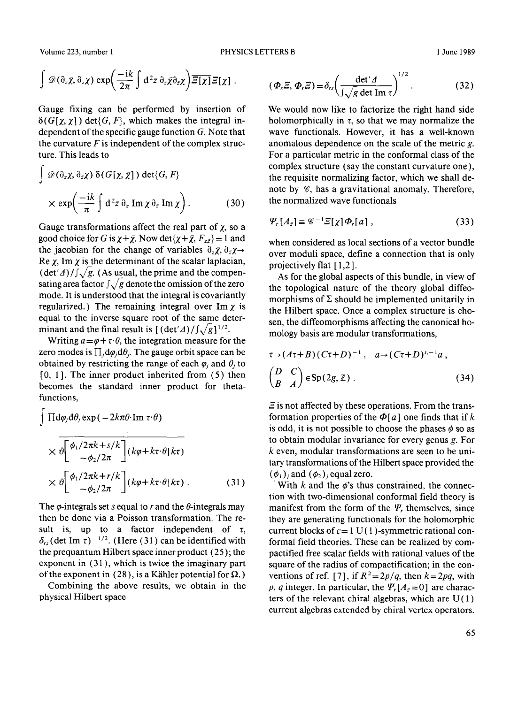Volume 223, number 1 1 1 1 1 1 1 289

 $\epsilon$ 

$$
\int \mathscr{D}(\partial_z \bar{\chi}, \partial_{\bar{z}} \chi) \exp\left(\frac{-ik}{2\pi} \int d^2 z \, \partial_z \bar{\chi} \partial_{\bar{z}} \chi\right) \overline{\mathcal{E}[\chi]} \mathcal{E}[\chi] .
$$

Gauge fixing can be performed by insertion of  $\delta(G[\chi, \bar{\chi}]$  ) det{G, F}, which makes the integral independent of the specific gauge function  $G$ . Note that the curvature  $F$  is independent of the complex structure. This leads to

$$
\int \mathscr{D}(\partial_z \bar{\chi}, \partial_{\bar{z}} \chi) \, \delta(G[\chi, \bar{\chi}]) \, \det\{G, F\} \\
\times \exp\left(\frac{-ik}{\pi} \int d^2 z \, \partial_z \, \mathrm{Im} \, \chi \, \partial_{\bar{z}} \, \mathrm{Im} \, \chi\right). \tag{30}
$$

Gauge transformations affect the real part of  $\chi$ , so a good choice for G is  $\chi + \bar{\chi}$ . Now det $\{\chi + \bar{\chi}, F_{z\bar{z}}\} = 1$  and the jacobian for the change of variables  $\partial_z \bar{\chi}, \partial_{\bar{z}} \chi \rightarrow$ Re  $\chi$ , Im  $\chi$  is the determinant of the scalar laplacian,  $(\det' \Delta)/\int \sqrt{g}$ . (As usual, the prime and the compensating area factor  $\int \sqrt{g}$  denote the omission of the zero mode. It is understood that the integral is covariantly regularized.) The remaining integral over Im  $\chi$  is equal to the inverse square root of the same determinant and the final result is  $[(det' \Delta)/\int_A g]^{1/2}$ .

Writing  $a = \varphi + \tau \cdot \theta$ , the integration measure for the zero modes is  $\prod_i d\varphi_i d\theta_i$ . The gauge orbit space can be obtained by restricting the range of each  $\varphi_i$  and  $\theta_i$  to  $[0, 1]$ . The inner product inherited from  $(5)$  then becomes the standard inner product for thetafunctions,

$$
\int \Pi d\varphi_j d\theta_j \exp(-2k\pi\theta \cdot \text{Im } \tau \cdot \theta)
$$
  
 
$$
\times \vartheta \left[\frac{\phi_1/2\pi k + s/k}{-\phi_2/2\pi}\right] (k\varphi + k\tau \cdot \theta | k\tau)
$$
  
 
$$
\times \vartheta \left[\frac{\phi_1/2\pi k + r/k}{-\phi_2/2\pi}\right] (k\varphi + k\tau \cdot \theta | k\tau).
$$
 (31)

The  $\varphi$ -integrals set s equal to r and the  $\theta$ -integrals may then be done via a Poisson transformation. The result is, up to a factor independent of  $\tau$ ,  $\delta_{rs}$  (det Im  $\tau$ )<sup>-1/2</sup>. (Here (31) can be identified with the prequantum Hilbert space inner product (25 ); the exponent in (31 ), which is twice the imaginary part of the exponent in (28), is a Kähler potential for  $\Omega$ .)

Combining the above results, we obtain in the physical Hilbert space

$$
(\Phi_s \Xi, \Phi_r \Xi) = \delta_{rs} \left( \frac{\det' \Delta}{\int \sqrt{g} \det \mathrm{Im} \tau} \right)^{1/2} . \tag{32}
$$

We would now like to factorize the right hand side holomorphically in  $\tau$ , so that we may normalize the wave functionals. However, it has a well-known anomalous dependence on the scale of the metric g. For a particular metric in the conformal class of the complex structure (say the constant curvature one), the requisite normalizing factor, which we shall denote by  $\mathscr C$ , has a gravitational anomaly. Therefore, the normalized wave functionals

$$
\Psi_r[A_z] \equiv \mathscr{C}^{-1} \varXi[\chi] \varPhi_r[a] \;, \tag{33}
$$

when considered as local sections of a vector bundle over moduli space, define a connection that is only projectively fiat [ 1,2 ].

As for the global aspects of this bundle, in view of the topological nature of the theory global diffeomorphisms of  $\Sigma$  should be implemented unitarily in the Hilbert space. Once a complex structure is chosen, the diffeomorphisms affecting the canonical homology basis are modular transformations,

$$
\tau \to (A\tau + B)(C\tau + D)^{-1}, \quad a \to (C\tau + D)^{t, -1}a,
$$
  
\n
$$
\begin{pmatrix} D & C \\ B & A \end{pmatrix} \in \text{Sp}(2g, \mathbb{Z}).
$$
\n(34)

 $\Xi$  is not affected by these operations. From the transformation properties of the  $\Phi[a]$  one finds that if k is odd, it is not possible to choose the phases  $\phi$  so as to obtain modular invariance for every genus g. For k even, modular transformations are seen to be unitary transformations of the Hilbert space provided the  $(\phi_1)_i$  and  $(\phi_2)_i$  equal zero.

With k and the  $\phi$ 's thus constrained, the connection with two-dimensional conformal field theory is manifest from the form of the  $\Psi_r$  themselves, since they are generating functionals for the holomorphic current blocks of  $c=1$  U(1)-symmetric rational conformal field theories. These can be realized by compactified free scalar fields with rational values of the square of the radius of compactification; in the conventions of ref. [7], if  $R^2 = 2p/q$ , then  $k = 2pq$ , with p, q integer. In particular, the  $\Psi_r[A_{\bar{z}}=0]$  are characters of the relevant chiral algebras, which are  $U(1)$ current algebras extended by chiral vertex operators.